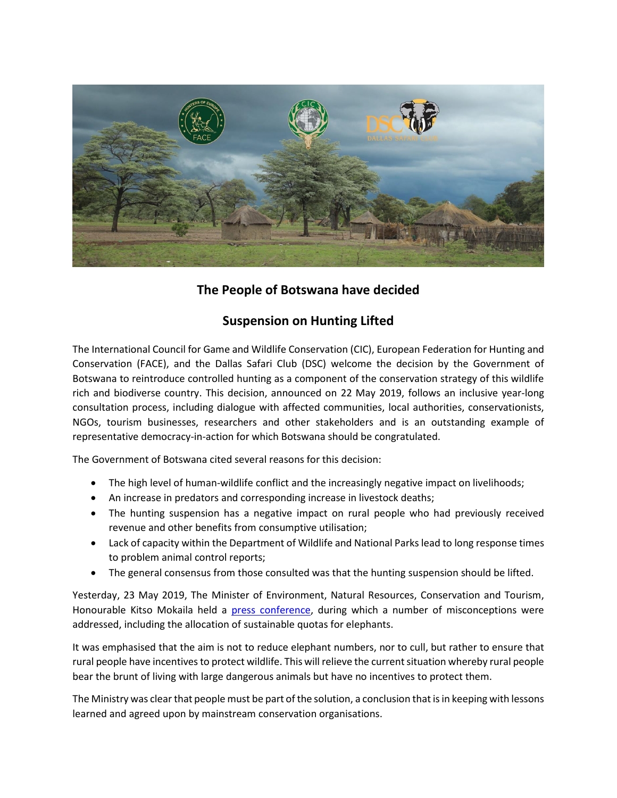

## **The People of Botswana have decided**

## **Suspension on Hunting Lifted**

The International Council for Game and Wildlife Conservation (CIC), European Federation for Hunting and Conservation (FACE), and the Dallas Safari Club (DSC) welcome the decision by the Government of Botswana to reintroduce controlled hunting as a component of the conservation strategy of this wildlife rich and biodiverse country. This decision, announced on 22 May 2019, follows an inclusive year-long consultation process, including dialogue with affected communities, local authorities, conservationists, NGOs, tourism businesses, researchers and other stakeholders and is an outstanding example of representative democracy-in-action for which Botswana should be congratulated.

The Government of Botswana cited several reasons for this decision:

- The high level of human-wildlife conflict and the increasingly negative impact on livelihoods;
- An increase in predators and corresponding increase in livestock deaths;
- The hunting suspension has a negative impact on rural people who had previously received revenue and other benefits from consumptive utilisation;
- Lack of capacity within the Department of Wildlife and National Parks lead to long response times to problem animal control reports;
- The general consensus from those consulted was that the hunting suspension should be lifted.

Yesterday, 23 May 2019, The Minister of Environment, Natural Resources, Conservation and Tourism, Honourable Kitso Mokaila held a [press conference,](https://www.facebook.com/BotswanaGovernment/videos/315050712720812/) during which a number of misconceptions were addressed, including the allocation of sustainable quotas for elephants.

It was emphasised that the aim is not to reduce elephant numbers, nor to cull, but rather to ensure that rural people have incentives to protect wildlife. This will relieve the current situation whereby rural people bear the brunt of living with large dangerous animals but have no incentives to protect them.

The Ministry was clear that people must be part of the solution, a conclusion that is in keeping with lessons learned and agreed upon by mainstream conservation organisations.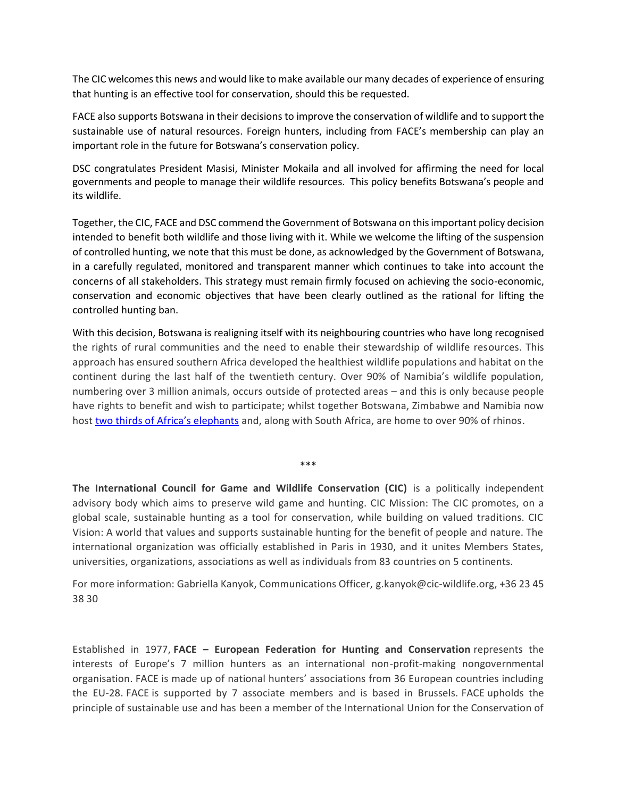The CIC welcomesthis news and would like to make available our many decades of experience of ensuring that hunting is an effective tool for conservation, should this be requested.

FACE also supports Botswana in their decisions to improve the conservation of wildlife and to support the sustainable use of natural resources. Foreign hunters, including from FACE's membership can play an important role in the future for Botswana's conservation policy.

DSC congratulates President Masisi, Minister Mokaila and all involved for affirming the need for local governments and people to manage their wildlife resources. This policy benefits Botswana's people and its wildlife.

Together, the CIC, FACE and DSC commend the Government of Botswana on this important policy decision intended to benefit both wildlife and those living with it. While we welcome the lifting of the suspension of controlled hunting, we note that this must be done, as acknowledged by the Government of Botswana, in a carefully regulated, monitored and transparent manner which continues to take into account the concerns of all stakeholders. This strategy must remain firmly focused on achieving the socio-economic, conservation and economic objectives that have been clearly outlined as the rational for lifting the controlled hunting ban.

With this decision, Botswana is realigning itself with its neighbouring countries who have long recognised the rights of rural communities and the need to enable their stewardship of wildlife resources. This approach has ensured southern Africa developed the healthiest wildlife populations and habitat on the continent during the last half of the twentieth century. Over 90% of Namibia's wildlife population, numbering over 3 million animals, occurs outside of protected areas – and this is only because people have rights to benefit and wish to participate; whilst together Botswana, Zimbabwe and Namibia now host two thir[ds of Africa's elephants](http://elephantswithoutborders.org/projects/great-elephant-census/) and, along with South Africa, are home to over 90% of rhinos.

**The International Council for Game and Wildlife Conservation (CIC)** is a politically independent advisory body which aims to preserve wild game and hunting. CIC Mission: The CIC promotes, on a global scale, sustainable hunting as a tool for conservation, while building on valued traditions. CIC Vision: A world that values and supports sustainable hunting for the benefit of people and nature. The international organization was officially established in Paris in 1930, and it unites Members States, universities, organizations, associations as well as individuals from 83 countries on 5 continents.

\*\*\*

For more information: Gabriella Kanyok, Communications Officer, [g.kanyok@cic-wildlife.org,](mailto:g.kanyok@cic-wildlife.org) +36 23 45 38 30

Established in 1977, **FACE – European Federation for Hunting and Conservation** represents the interests of Europe's 7 million hunters as an international non-profit-making nongovernmental organisation. FACE is made up of national hunters' associations from 36 European countries including the EU-28. FACE is supported by 7 associate members and is based in Brussels. FACE upholds the principle of sustainable use and has been a member of the International Union for the Conservation of